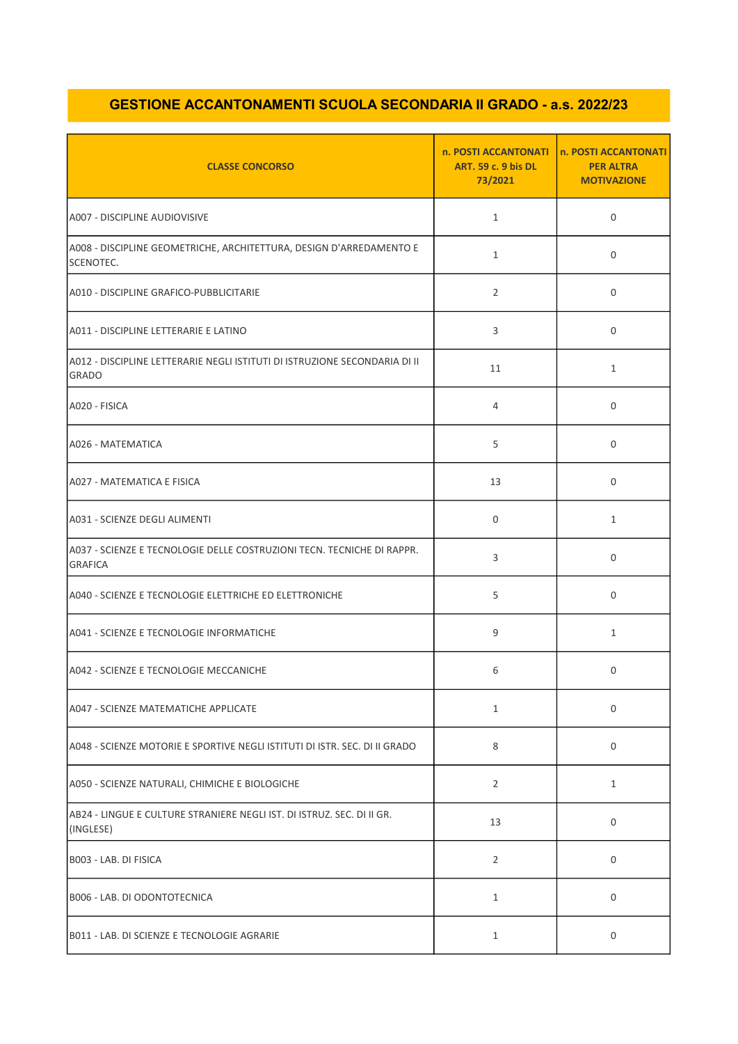## GESTIONE ACCANTONAMENTI SCUOLA SECONDARIA II GRADO - a.s. 2022/23

| <b>CLASSE CONCORSO</b>                                                                     | n. POSTI ACCANTONATI<br><b>ART. 59 c. 9 bis DL</b><br>73/2021 | n. POSTI ACCANTONATI<br><b>PER ALTRA</b><br><b>MOTIVAZIONE</b> |
|--------------------------------------------------------------------------------------------|---------------------------------------------------------------|----------------------------------------------------------------|
| A007 - DISCIPLINE AUDIOVISIVE                                                              | $\mathbf{1}$                                                  | 0                                                              |
| A008 - DISCIPLINE GEOMETRICHE, ARCHITETTURA, DESIGN D'ARREDAMENTO E<br>SCENOTEC.           | $\mathbf{1}$                                                  | $\mathbf 0$                                                    |
| A010 - DISCIPLINE GRAFICO-PUBBLICITARIE                                                    | $\overline{2}$                                                | 0                                                              |
| A011 - DISCIPLINE LETTERARIE E LATINO                                                      | 3                                                             | $\mathbf 0$                                                    |
| A012 - DISCIPLINE LETTERARIE NEGLI ISTITUTI DI ISTRUZIONE SECONDARIA DI II<br><b>GRADO</b> | 11                                                            | $\mathbf{1}$                                                   |
| A020 - FISICA                                                                              | 4                                                             | 0                                                              |
| A026 - MATEMATICA                                                                          | 5                                                             | $\mathbf 0$                                                    |
| A027 - MATEMATICA E FISICA                                                                 | 13                                                            | $\Omega$                                                       |
| A031 - SCIENZE DEGLI ALIMENTI                                                              | $\mathbf 0$                                                   | $\mathbf{1}$                                                   |
| A037 - SCIENZE E TECNOLOGIE DELLE COSTRUZIONI TECN. TECNICHE DI RAPPR.<br><b>GRAFICA</b>   | 3                                                             | 0                                                              |
| A040 - SCIENZE E TECNOLOGIE ELETTRICHE ED ELETTRONICHE                                     | 5                                                             | 0                                                              |
| A041 - SCIENZE E TECNOLOGIE INFORMATICHE                                                   | 9                                                             | $\mathbf{1}$                                                   |
| A042 - SCIENZE E TECNOLOGIE MECCANICHE                                                     | 6                                                             | 0                                                              |
| A047 - SCIENZE MATEMATICHE APPLICATE                                                       | $\mathbf{1}$                                                  | $\mathbf 0$                                                    |
| A048 - SCIENZE MOTORIE E SPORTIVE NEGLI ISTITUTI DI ISTR. SEC. DI II GRADO                 | 8                                                             | 0                                                              |
| A050 - SCIENZE NATURALI, CHIMICHE E BIOLOGICHE                                             | $\overline{2}$                                                | $\mathbf{1}$                                                   |
| AB24 - LINGUE E CULTURE STRANIERE NEGLI IST. DI ISTRUZ. SEC. DI II GR.<br>(INGLESE)        | 13                                                            | 0                                                              |
| B003 - LAB. DI FISICA                                                                      | $\overline{2}$                                                | 0                                                              |
| B006 - LAB. DI ODONTOTECNICA                                                               | $\mathbf{1}$                                                  | $\mathbf 0$                                                    |
| B011 - LAB. DI SCIENZE E TECNOLOGIE AGRARIE                                                | $\mathbf{1}$                                                  | 0                                                              |